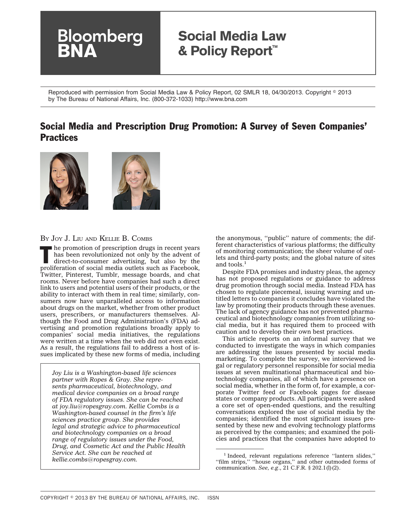# **Social Media Law & Policy Report™**

Reproduced with permission from Social Media Law & Policy Report, 02 SMLR 18, 04/30/2013. Copyright © 2013 by The Bureau of National Affairs, Inc. (800-372-1033) http://www.bna.com

### Social Media and Prescription Drug Promotion: A Survey of Seven Companies' **Practices**



**Bloomberg** 

#### BY JOY J. LIU AND KELLIE B. COMBS

The promotion of prescription drugs in recent years<br>has been revolutionized not only by the advent of<br>direct-to-consumer advertising, but also by the<br>predictorion of social modial contains as the set has been revolutionized not only by the advent of proliferation of social media outlets such as Facebook, Twitter, Pinterest, Tumblr, message boards, and chat rooms. Never before have companies had such a direct link to users and potential users of their products, or the ability to interact with them in real time; similarly, consumers now have unparalleled access to information about drugs on the market, whether from other product users, prescribers, or manufacturers themselves. Although the Food and Drug Administration's (FDA) advertising and promotion regulations broadly apply to companies' social media initiatives, the regulations were written at a time when the web did not even exist. As a result, the regulations fail to address a host of issues implicated by these new forms of media, including

*Joy Liu is a Washington-based life sciences partner with Ropes & Gray. She represents pharmaceutical, biotechnology, and medical device companies on a broad range of FDA regulatory issues. She can be reached at [joy.liu@ropesgray.com.](mailto:joy.liu@ropesgray.com) Kellie Combs is a Washington-based counsel in the firm's life sciences practice group. She provides legal and strategic advice to pharmaceutical and biotechnology companies on a broad range of regulatory issues under the Food, Drug, and Cosmetic Act and the Public Health Service Act. She can be reached at [kellie.combs@ropesgray.com.](mailto:kellie.combs@ropesgray.com)*

the anonymous, ''public'' nature of comments; the different characteristics of various platforms; the difficulty of monitoring communication; the sheer volume of outlets and third-party posts; and the global nature of sites and tools.<sup>1</sup>

Despite FDA promises and industry pleas, the agency has not proposed regulations or guidance to address drug promotion through social media. Instead FDA has chosen to regulate piecemeal, issuing warning and untitled letters to companies it concludes have violated the law by promoting their products through these avenues. The lack of agency guidance has not prevented pharmaceutical and biotechnology companies from utilizing social media, but it has required them to proceed with caution and to develop their own best practices.

This article reports on an informal survey that we conducted to investigate the ways in which companies are addressing the issues presented by social media marketing. To complete the survey, we interviewed legal or regulatory personnel responsible for social media issues at seven multinational pharmaceutical and biotechnology companies, all of which have a presence on social media, whether in the form of, for example, a corporate Twitter feed or Facebook pages for disease states or company products. All participants were asked a core set of open-ended questions, and the resulting conversations explored the use of social media by the companies; identified the most significant issues presented by these new and evolving technology platforms as perceived by the companies; and examined the policies and practices that the companies have adopted to

<sup>&</sup>lt;sup>1</sup> Indeed, relevant regulations reference "lantern slides," "film strips," "house organs," and other outmoded forms of communication. *See, e.g*., 21 C.F.R. § 202.1(l)(2).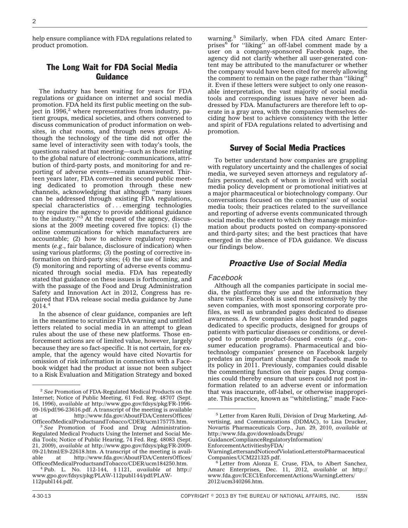help ensure compliance with FDA regulations related to product promotion.

#### The Long Wait for FDA Social Media Guidance

The industry has been waiting for years for FDA regulations or guidance on internet and social media promotion. FDA held its first public meeting on the subject in  $1996$ ,<sup>2</sup> where representatives from industry, patient groups, medical societies, and others convened to discuss communication of product information on websites, in chat rooms, and through news groups. Although the technology of the time did not offer the same level of interactivity seen with today's tools, the questions raised at that meeting—such as those relating to the global nature of electronic communications, attribution of third-party posts, and monitoring for and reporting of adverse events—remain unanswered. Thirteen years later, FDA convened its second public meeting dedicated to promotion through these new channels, acknowledging that although ''many issues can be addressed through existing FDA regulations, special characteristics of... emerging technologies may require the agency to provide additional guidance to the industry.''3 At the request of the agency, discussions at the 2009 meeting covered five topics: (1) the online communications for which manufacturers are accountable; (2) how to achieve regulatory requirements (*e.g*., fair balance, disclosure of indication) when using various platforms; (3) the posting of corrective information on third-party sites; (4) the use of links; and (5) monitoring and reporting of adverse events communicated through social media. FDA has repeatedly stated that guidance on these issues is forthcoming, and with the passage of the Food and Drug Administration Safety and Innovation Act in 2012, Congress has required that FDA release social media guidance by June 2014.4

In the absence of clear guidance, companies are left in the meantime to scrutinize FDA warning and untitled letters related to social media in an attempt to glean rules about the use of these new platforms. Those enforcement actions are of limited value, however, largely because they are so fact-specific. It is not certain, for example, that the agency would have cited Novartis for omission of risk information in connection with a Facebook widget had the product at issue not been subject to a Risk Evaluation and Mitigation Strategy and boxed

warning.5 Similarly, when FDA cited Amarc Enterprises<sup>6</sup> for "liking" an off-label comment made by a user on a company-sponsored Facebook page, the agency did not clarify whether all user-generated content may be attributed to the manufacturer or whether the company would have been cited for merely allowing the comment to remain on the page rather than ''liking'' it. Even if these letters were subject to only one reasonable interpretation, the vast majority of social media tools and corresponding issues have never been addressed by FDA. Manufacturers are therefore left to operate in a gray area, with the companies themselves deciding how best to achieve consistency with the letter and spirit of FDA regulations related to advertising and promotion.

#### Survey of Social Media Practices

To better understand how companies are grappling with regulatory uncertainty and the challenges of social media, we surveyed seven attorneys and regulatory affairs personnel, each of whom is involved with social media policy development or promotional initiatives at a major pharmaceutical or biotechnology company. Our conversations focused on the companies' use of social media tools; their practices related to the surveillance and reporting of adverse events communicated through social media; the extent to which they manage misinformation about products posted on company-sponsored and third-party sites; and the best practices that have emerged in the absence of FDA guidance. We discuss our findings below.

#### *Proactive Use of Social Media*

#### *Facebook*

Although all the companies participate in social media, the platforms they use and the information they share varies. Facebook is used most extensively by the seven companies, with most sponsoring corporate profiles, as well as unbranded pages dedicated to disease awareness. A few companies also host branded pages dedicated to specific products, designed for groups of patients with particular diseases or conditions, or developed to promote product-focused events (*e.g*., consumer education programs). Pharmaceutical and biotechnology companies' presence on Facebook largely predates an important change that Facebook made to its policy in 2011. Previously, companies could disable the commenting function on their pages. Drug companies could thereby ensure that users could not post information related to an adverse event or information that was inaccurate, off-label, or otherwise inappropriate. This practice, known as ''whitelisting,'' made Face-

[EnforcementActivitiesbyFDA/](http://www.fda.gov/downloads/Drugs/GuidanceComplianceRegulatoryInformation/EnforcementActivitiesbyFDA/WarningLettersandNoticeofViolationLetterstoPharmaceuticalCompanies/UCM221325.pdf)

<sup>2</sup> *See* Promotion of FDA-Regulated Medical Products on the Internet; Notice of Public Meeting, 61 Fed. Reg. 48707 (Sept. 16, 1996), *available at* [http://www.gpo.gov/fdsys/pkg/FR-1996-](http://www.gpo.gov/fdsys/pkg/FR-1996-09-16/pdf/96-23616.pdf) [09-16/pdf/96-23616.pdf.](http://www.gpo.gov/fdsys/pkg/FR-1996-09-16/pdf/96-23616.pdf) A transcript of the meeting is available at [http://www.fda.gov/AboutFDA/CentersOffices/](http://www.fda.gov/AboutFDA/CentersOffices/OfficeofMedicalProductsandTobacco/CDER/ucm175775.htm)

<sup>&</sup>lt;sup>3</sup> See Promotion of Food and Drug Administration-Regulated Medical Products Using the Internet and Social Media Tools; Notice of Public Hearing, 74 Fed. Reg. 48083 (Sept. 21, 2009), *available at* [http://www.gpo.gov/fdsys/pkg/FR-2009-](http://www.gpo.gov/fdsys/pkg/FR-2009-09-21/html/E9-22618.htm) [09-21/html/E9-22618.htm.](http://www.gpo.gov/fdsys/pkg/FR-2009-09-21/html/E9-22618.htm) A transcript of the meeting is available at [http://www.fda.gov/AboutFDA/CentersOffices/](http://www.fda.gov/AboutFDA/CentersOffices/OfficeofMedicalProductsandTobacco/CDER/ucm184250.htm)

[OfficeofMedicalProductsandTobacco/CDER/ucm184250.htm.](http://www.fda.gov/AboutFDA/CentersOffices/OfficeofMedicalProductsandTobacco/CDER/ucm184250.htm) <sup>4</sup> Pub. L. No. 112-144, § 1121, *available at* [http://](http://www.gpo.gov/fdsys/pkg/PLAW-112publ144/pdf/PLAW-112publ144.pdf) [www.gpo.gov/fdsys/pkg/PLAW-112publ144/pdf/PLAW-](http://www.gpo.gov/fdsys/pkg/PLAW-112publ144/pdf/PLAW-112publ144.pdf)[112publ144.pdf.](http://www.gpo.gov/fdsys/pkg/PLAW-112publ144/pdf/PLAW-112publ144.pdf)

<sup>5</sup> Letter from Karen Rulli, Division of Drug Marketing, Advertising, and Communications (DDMAC), to Lisa Drucker, Novartis Pharmaceuticals Corp., Jun. 29, 2010, *available at* [http://www.fda.gov/downloads/Drugs/](http://www.fda.gov/downloads/Drugs/GuidanceComplianceRegulatoryInformation/EnforcementActivitiesbyFDA/WarningLettersandNoticeofViolationLetterstoPharmaceuticalCompanies/UCM221325.pdf)

[GuidanceComplianceRegulatoryInformation/](http://www.fda.gov/downloads/Drugs/GuidanceComplianceRegulatoryInformation/EnforcementActivitiesbyFDA/WarningLettersandNoticeofViolationLetterstoPharmaceuticalCompanies/UCM221325.pdf)

[WarningLettersandNoticeofViolationLetterstoPharmaceutical](http://www.fda.gov/downloads/Drugs/GuidanceComplianceRegulatoryInformation/EnforcementActivitiesbyFDA/WarningLettersandNoticeofViolationLetterstoPharmaceuticalCompanies/UCM221325.pdf)

 $6$  Letter from Alonza E. Cruse, FDA, to Albert Sanchez, Amarc Enterprises, Dec. 11, 2012, *available at* [http://](http://www.fda.gov/ICECI/EnforcementActions/WarningLetters/2012/ucm340266.htm) [www.fda.gov/ICECI/EnforcementActions/WarningLetters/](http://www.fda.gov/ICECI/EnforcementActions/WarningLetters/2012/ucm340266.htm) [2012/ucm340266.htm.](http://www.fda.gov/ICECI/EnforcementActions/WarningLetters/2012/ucm340266.htm)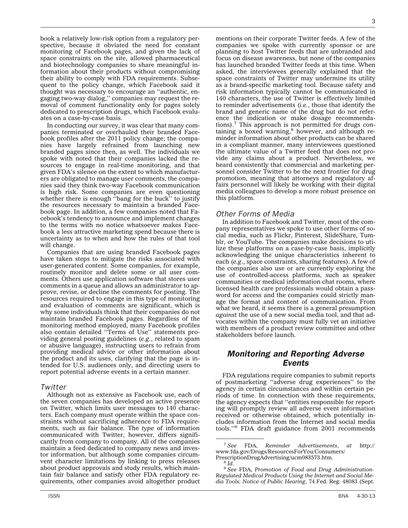book a relatively low-risk option from a regulatory perspective, because it obviated the need for constant monitoring of Facebook pages, and given the lack of space constraints on the site, allowed pharmaceutical and biotechnology companies to share meaningful information about their products without compromising their ability to comply with FDA requirements. Subsequent to the policy change, which Facebook said it thought was necessary to encourage an ''authentic, engaging two-way dialog,'' companies may request the removal of comment functionality only for pages solely dedicated to prescription drugs, which Facebook evaluates on a case-by-case basis.

In conducting our survey, it was clear that many companies terminated or overhauled their branded Facebook profiles after the 2011 policy change; the companies have largely refrained from launching new branded pages since then, as well. The individuals we spoke with noted that their companies lacked the resources to engage in real-time monitoring, and that given FDA's silence on the extent to which manufacturers are obligated to manage user comments, the companies said they think two-way Facebook communication is high risk. Some companies are even questioning whether there is enough ''bang for the buck'' to justify the resources necessary to maintain a branded Facebook page. In addition, a few companies noted that Facebook's tendency to announce and implement changes to the terms with no notice whatsoever makes Facebook a less attractive marketing spend because there is uncertainty as to when and how the rules of that tool will change.

Companies that are using branded Facebook pages have taken steps to mitigate the risks associated with user-generated content. Some companies, for example, routinely monitor and delete some or all user comments. Others use application software that stores user comments in a queue and allows an administrator to approve, revise, or decline the comments for posting. The resources required to engage in this type of monitoring and evaluation of comments are significant, which is why some individuals think that their companies do not maintain branded Facebook pages. Regardless of the monitoring method employed, many Facebook profiles also contain detailed ''Terms of Use'' statements providing general posting guidelines (*e.g.*, related to spam or abusive language), instructing users to refrain from providing medical advice or other information about the product and its uses, clarifying that the page is intended for U.S. audiences only, and directing users to report potential adverse events in a certain manner.

#### *Twitter*

Although not as extensive as Facebook use, each of the seven companies has developed an active presence on Twitter, which limits user messages to 140 characters. Each company must operate within the space constraints without sacrificing adherence to FDA requirements, such as fair balance. The *type* of information communicated with Twitter, however, differs significantly from company to company. All of the companies maintain a feed dedicated to company news and investor information, but although some companies circumvent character limitations by linking to press releases about product approvals and study results, which maintain fair balance and satisfy other FDA regulatory requirements, other companies avoid altogether product

mentions on their corporate Twitter feeds. A few of the companies we spoke with currently sponsor or are planning to host Twitter feeds that are unbranded and focus on disease awareness, but none of the companies has launched branded Twitter feeds at this time. When asked, the interviewees generally explained that the space constraints of Twitter may undermine its utility as a brand-specific marketing tool. Because safety and risk information typically cannot be communicated in 140 characters, the use of Twitter is effectively limited to reminder advertisements (*i.e.*, those that identify the brand and generic name of the drug but do not reference the indication or make dosage recommendations).7 This approach is not permitted for drugs containing a boxed warning, $8$  however, and although reminder information about other products can be shared in a compliant manner, many interviewees questioned the ultimate value of a Twitter feed that does not provide any claims about a product. Nevertheless, we heard consistently that commercial and marketing personnel consider Twitter to be the next frontier for drug promotion, meaning that attorneys and regulatory affairs personnel will likely be working with their digital media colleagues to develop a more robust presence on this platform.

#### *Other Forms of Media*

In addition to Facebook and Twitter, most of the company representatives we spoke to use other forms of social media, such as Flickr, Pinterest, SlideShare, Tumblr, or YouTube. The companies make decisions to utilize these platforms on a case-by-case basis, implicitly acknowledging the unique characteristics inherent to each (*e.g*., space constraints, sharing features). A few of the companies also use or are currently exploring the use of controlled-access platforms, such as speaker communities or medical information chat rooms, where licensed health care professionals would obtain a password for access and the companies could strictly manage the format and content of communication. From what we heard, it seems there is a general presumption *against* the use of a new social media tool, and that advocates within the company must fully vet an initiative with members of a product review committee and other stakeholders before launch.

#### *Monitoring and Reporting Adverse Events*

FDA regulations require companies to submit reports of postmarketing ''adverse drug experiences'' to the agency in certain circumstances and within certain periods of time. In connection with these requirements, the agency expects that ''entities responsible for reporting will promptly review all adverse event information received or otherwise obtained, which potentially includes information from the Internet and social media tools.''9 FDA draft guidance from 2001 recommends

<sup>7</sup> *See* FDA, *Reminder Advertisements*, *at* [http://](http://www.fda.gov/Drugs/ResourcesForYou/Consumers/PrescriptionDrugAdvertising/ucm083573.htm) [www.fda.gov/Drugs/ResourcesForYou/Consumers/](http://www.fda.gov/Drugs/ResourcesForYou/Consumers/PrescriptionDrugAdvertising/ucm083573.htm)

<sup>&</sup>lt;sup>8</sup> Id. <sup>8</sup> See FDA, *Promotion of Food and Drug Administration-Regulated Medical Products Using the Internet and Social Media Tools; Notice of Public Hearing*, 74 Fed. Reg. 48083 (Sept.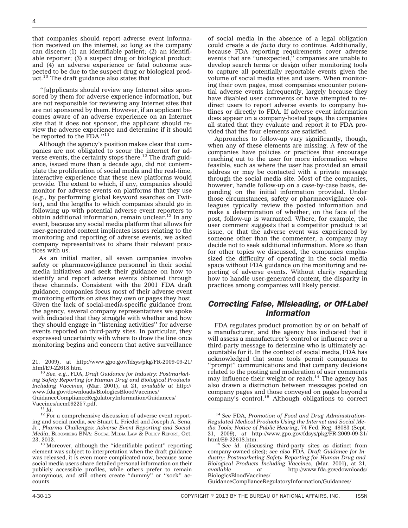that companies should report adverse event information received on the internet, so long as the company can discern (1) an identifiable patient; (2) an identifiable reporter; (3) a suspect drug or biological product; and (4) an adverse experience or fatal outcome suspected to be due to the suspect drug or biological product.10 The draft guidance also states that

''[a]pplicants should review any Internet sites sponsored by them for adverse experience information, but are not responsible for reviewing any Internet sites that are not sponsored by them. However, if an applicant becomes aware of an adverse experience on an Internet site that it does not sponsor, the applicant should review the adverse experience and determine if it should be reported to the FDA."<sup>11</sup>

Although the agency's position makes clear that companies are not obligated to scour the internet for adverse events, the certainty stops there.<sup>12</sup> The draft guidance, issued more than a decade ago, did not contemplate the proliferation of social media and the real-time, interactive experience that these new platforms would provide. The extent to which, if any, companies should monitor for adverse events on platforms that they use (*e.g.*, by performing global keyword searches on Twitter), and the lengths to which companies should go in following up with potential adverse event reporters to obtain additional information, remain unclear.<sup>13</sup> In any event, because any social media platform that allows for user-generated content implicates issues relating to the monitoring and reporting of adverse events, we asked company representatives to share their relevant practices with us.

As an initial matter, all seven companies involve safety or pharmacovigilance personnel in their social media initiatives and seek their guidance on how to identify and report adverse events obtained through these channels. Consistent with the 2001 FDA draft guidance, companies focus most of their adverse event monitoring efforts on sites they own or pages they host. Given the lack of social-media-specific guidance from the agency, several company representatives we spoke with indicated that they struggle with whether and how they should engage in ''listening activities'' for adverse events reported on third-party sites. In particular, they expressed uncertainty with where to draw the line once monitoring begins and concern that active surveillance

[GuidanceComplianceRegulatoryInformation/Guidances/](http://www.fda.gov/downloads/BiologicsBloodVaccines/GuidanceComplianceRegulatoryInformation/Guidances/Vaccines/ucm092257.pdf)

of social media in the absence of a legal obligation could create a *de facto* duty to continue. Additionally, because FDA reporting requirements cover adverse events that are ''unexpected,'' companies are unable to develop search terms or design other monitoring tools to capture all potentially reportable events given the volume of social media sites and users. When monitoring their own pages, most companies encounter potential adverse events infrequently, largely because they have disabled user comments or have attempted to redirect users to report adverse events to company hotlines or directly to FDA. If adverse event information does appear on a company-hosted page, the companies all stated that they evaluate and report it to FDA provided that the four elements are satisfied.

Approaches to follow-up vary significantly, though, when any of these elements are missing. A few of the companies have policies or practices that encourage reaching out to the user for more information where feasible, such as where the user has provided an email address or may be contacted with a private message through the social media site. Most of the companies, however, handle follow-up on a case-by-case basis, depending on the initial information provided. Under those circumstances, safety or pharmacovigilance colleagues typically review the posted information and make a determination of whether, on the face of the post, follow-up is warranted. Where, for example, the user comment suggests that a competitor product is at issue, or that the adverse event was experienced by someone other than the commenter, a company may decide not to seek additional information. More so than for other topics we discussed, the companies emphasized the difficulty of operating in the social media space without FDA guidance on the monitoring and reporting of adverse events. Without clarity regarding how to handle user-generated content, the disparity in practices among companies will likely persist.

#### *Correcting False, Misleading, or Off-Label Information*

FDA regulates product promotion by or on behalf of a manufacturer, and the agency has indicated that it will assess a manufacturer's control or influence over a third-party message to determine who is ultimately accountable for it. In the context of social media, FDA has acknowledged that some tools permit companies to ''prompt'' communications and that company decisions related to the posting and moderation of user comments may influence their weight or reach.<sup>14</sup> The agency has also drawn a distinction between messages posted on company pages and those conveyed on pages beyond a company's control.15 Although obligations to correct

[GuidanceComplianceRegulatoryInformation/Guidances/](http://www.fda.gov/downloads/BiologicsBloodVaccines/GuidanceComplianceRegulatoryInformation/Guidances/Vaccines/ucm092257.pdf)

<sup>21, 2009),</sup> at [http://www.gpo.gov/fdsys/pkg/FR-2009-09-21/](http://www.gpo.gov/fdsys/pkg/FR-2009-09-21/html/E9-22618.htm)

<sup>&</sup>lt;sup>10</sup> See, e.g., FDA, *Draft Guidance for Industry: Postmarketing Safety Reporting for Human Drug and Biological Products Including Vaccines*, (Mar. 2001), at 21, *available at* [http://](http://www.fda.gov/downloads/BiologicsBloodVaccines/GuidanceComplianceRegulatoryInformation/Guidances/Vaccines/ucm092257.pdf) [www.fda.gov/downloads/BiologicsBloodVaccines/](http://www.fda.gov/downloads/BiologicsBloodVaccines/GuidanceComplianceRegulatoryInformation/Guidances/Vaccines/ucm092257.pdf)

<sup>&</sup>lt;sup>11</sup> *Id.* <sup>12</sup> For a comprehensive discussion of adverse event reporting and social media, *see* Stuart L. Friedel and Joseph A. Sena, Jr., *Pharma Challenges: Adverse Event Reporting and Social Media*, BLOOMBERG BNA: SOCIAL MEDIA LAW & POLICY REPORT, Oct. 23, 2012.

<sup>&</sup>lt;sup>13</sup> Moreover, although the "identifiable patient" reporting element was subject to interpretation when the draft guidance was released, it is even more complicated now, because some social media users share detailed personal information on their publicly accessible profiles, while others prefer to remain anonymous, and still others create ''dummy'' or ''sock'' accounts.

<sup>14</sup> *See* FDA, *Promotion of Food and Drug Administration-Regulated Medical Products Using the Internet and Social Media Tools; Notice of Public Hearing*, 74 Fed. Reg. 48083 (Sept. 21, 2009), *at* [http://www.gpo.gov/fdsys/pkg/FR-2009-09-21/](http://www.gpo.gov/fdsys/pkg/FR-2009-09-21/html/E9-22618.htm)

<sup>&</sup>lt;sup>15</sup> See id. (discussing third-party sites as distinct from company-owned sites); *see also* FDA, *Draft Guidance for Industry: Postmarketing Safety Reporting for Human Drug and Biological Products Including Vaccines*, (Mar. 2001), at 21, *available at* [http://www.fda.gov/downloads/](http://www.fda.gov/downloads/BiologicsBloodVaccines/GuidanceComplianceRegulatoryInformation/Guidances/Vaccines/ucm092257.pdf) [BiologicsBloodVaccines/](http://www.fda.gov/downloads/BiologicsBloodVaccines/GuidanceComplianceRegulatoryInformation/Guidances/Vaccines/ucm092257.pdf)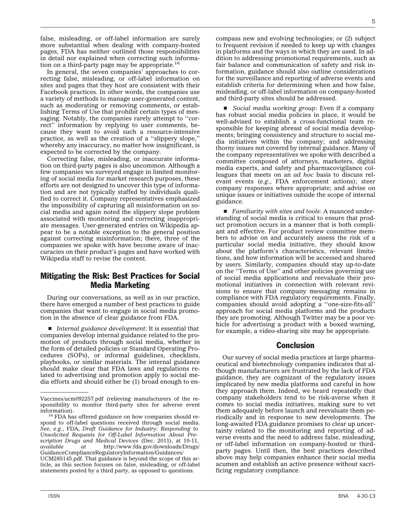false, misleading, or off-label information are surely more substantial when dealing with company-hosted pages, FDA has neither outlined those responsibilities in detail nor explained when correcting such information on a third-party page may be appropriate.<sup>16</sup>

In general, the seven companies' approaches to correcting false, misleading, or off-label information on sites and pages that they host are consistent with their Facebook practices. In other words, the companies use a variety of methods to manage user-generated content, such as moderating or removing comments, or establishing Terms of Use that prohibit certain types of messaging. Notably, the companies rarely attempt to ''correct'' information by replying to user comments, because they want to avoid such a resource-intensive practice, as well as the creation of a ''slippery slope,'' whereby any inaccuracy, no matter how insignificant, is expected to be corrected by the company.

Correcting false, misleading, or inaccurate information on third-party pages is also uncommon. Although a few companies we surveyed engage in limited monitoring of social media for market research purposes, these efforts are not designed to uncover this type of information and are not typically staffed by individuals qualified to correct it. Company representatives emphasized the impossibility of capturing all misinformation on social media and again noted the slippery slope problem associated with monitoring and correcting inappropriate messages. User-generated entries on Wikipedia appear to be a notable exception to the general position against correcting misinformation; there, three of the companies we spoke with have become aware of inaccuracies on their product's pages and have worked with Wikipedia staff to revise the content.

#### Mitigating the Risk: Best Practices for Social Media Marketing

During our conversations, as well as in our practice, there have emerged a number of best practices to guide companies that want to engage in social media promotion in the absence of clear guidance from FDA.

■ *Internal guidance development*: It is essential that companies develop internal guidance related to the promotion of products through social media, whether in the form of detailed policies or Standard Operating Procedures (SOPs), or informal guidelines, checklists, playbooks, or similar materials. The internal guidance should make clear that FDA laws and regulations related to advertising and promotion apply to social media efforts and should either be (1) broad enough to en-

compass new and evolving technologies; or (2) subject to frequent revision if needed to keep up with changes in platforms and the ways in which they are used. In addition to addressing promotional requirements, such as fair balance and communication of safety and risk information, guidance should also outline considerations for the surveillance and reporting of adverse events and establish criteria for determining when and how false, misleading, or off-label information on company-hosted and third-party sites should be addressed.

■ *Social media working group*: Even if a company has robust social media policies in place, it would be well-advised to establish a cross-functional team responsible for keeping abreast of social media developments; bringing consistency and structure to social media initiatives within the company; and addressing thorny issues not covered by internal guidance. Many of the company representatives we spoke with described a committee composed of attorneys, marketers, digital media experts, and safety and pharmacovigilance colleagues that meets on an *ad hoc* basis to discuss relevant events (*e.g*., FDA enforcement actions); steer company responses where appropriate; and advise on unique issues or initiatives outside the scope of internal guidance.

**Familiarity with sites and tools: A nuanced under**standing of social media is critical to ensure that product promotion occurs in a manner that is both compliant and effective. For product review committee members to advise on and accurately assess the risk of a particular social media initiative, they should know about the platform's characteristics, relevant limitations, and how information will be accessed and shared by users. Similarly, companies should stay up-to-date on the ''Terms of Use'' and other policies governing use of social media applications and reevaluate their promotional initiatives in connection with relevant revisions to ensure that company messaging remains in compliance with FDA regulatory requirements. Finally, companies should avoid adopting a ''one-size-fits-all'' approach for social media platforms and the products they are promoting. Although Twitter may be a poor vehicle for advertising a product with a boxed warning, for example, a video-sharing site may be appropriate.

#### Conclusion

Our survey of social media practices at large pharmaceutical and biotechnology companies indicates that although manufacturers are frustrated by the lack of FDA guidance, they are cognizant of the regulatory issues implicated by new media platforms and careful in how they approach them. Indeed, we heard repeatedly that company stakeholders tend to be risk-averse when it comes to social media initiatives, making sure to vet them adequately before launch and reevaluate them periodically and in response to new developments. The long-awaited FDA guidance promises to clear up uncertainty related to the monitoring and reporting of adverse events and the need to address false, misleading, or off-label information on company-hosted or thirdparty pages. Until then, the best practices described above may help companies enhance their social media acumen and establish an active presence without sacrificing regulatory compliance.

[Vaccines/ucm092257.pdf](http://www.fda.gov/downloads/BiologicsBloodVaccines/GuidanceComplianceRegulatoryInformation/Guidances/Vaccines/ucm092257.pdf) (relieving manufacturers of the responsibility to monitor third-party sites for adverse event information).

<sup>&</sup>lt;sup>16</sup> FDA has offered guidance on how companies should respond to off-label questions received through social media. *See, e.g*., FDA, *Draft Guidance for Industry: Responding to Unsolicited Requests for Off-Label Information About Prescription Drugs and Medical Devices* (Dec. 2011), at 10-11, *available at* [http://www.fda.gov/downloads/Drugs/](http://www.fda.gov/downloads/Drugs/GuidanceComplianceRegulatoryInformation/Guidances/UCM285145.pdf) [GuidanceComplianceRegulatoryInformation/Guidances/](http://www.fda.gov/downloads/Drugs/GuidanceComplianceRegulatoryInformation/Guidances/UCM285145.pdf) [UCM285145.pdf.](http://www.fda.gov/downloads/Drugs/GuidanceComplianceRegulatoryInformation/Guidances/UCM285145.pdf) That guidance is beyond the scope of this article, as this section focuses on false, misleading, or off-label statements posted by a third party, as opposed to questions.